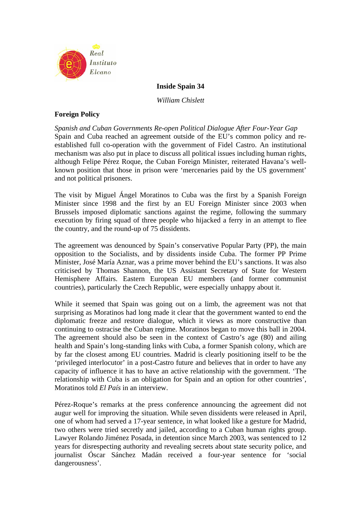

**Inside Spain 34**

*William Chislett* 

# **Foreign Policy**

*Spanish and Cuban Governments Re-open Political Dialogue After Four-Year Gap*  Spain and Cuba reached an agreement outside of the EU's common policy and reestablished full co-operation with the government of Fidel Castro. An institutional mechanism was also put in place to discuss all political issues including human rights, although Felipe Pérez Roque, the Cuban Foreign Minister, reiterated Havana's wellknown position that those in prison were 'mercenaries paid by the US government' and not political prisoners.

The visit by Miguel Ángel Moratinos to Cuba was the first by a Spanish Foreign Minister since 1998 and the first by an EU Foreign Minister since 2003 when Brussels imposed diplomatic sanctions against the regime, following the summary execution by firing squad of three people who hijacked a ferry in an attempt to flee the country, and the round-up of 75 dissidents.

The agreement was denounced by Spain's conservative Popular Party (PP), the main opposition to the Socialists, and by dissidents inside Cuba. The former PP Prime Minister, José María Aznar, was a prime mover behind the EU's sanctions. It was also criticised by Thomas Shannon, the US Assistant Secretary of State for Western Hemisphere Affairs. Eastern European EU members (and former communist countries), particularly the Czech Republic, were especially unhappy about it.

While it seemed that Spain was going out on a limb, the agreement was not that surprising as Moratinos had long made it clear that the government wanted to end the diplomatic freeze and restore dialogue, which it views as more constructive than continuing to ostracise the Cuban regime. Moratinos began to move this ball in 2004. The agreement should also be seen in the context of Castro's age (80) and ailing health and Spain's long-standing links with Cuba, a former Spanish colony, which are by far the closest among EU countries. Madrid is clearly positioning itself to be the 'privileged interlocutor' in a post-Castro future and believes that in order to have any capacity of influence it has to have an active relationship with the government. 'The relationship with Cuba is an obligation for Spain and an option for other countries', Moratinos told *El País* in an interview.

Pérez-Roque's remarks at the press conference announcing the agreement did not augur well for improving the situation. While seven dissidents were released in April, one of whom had served a 17-year sentence, in what looked like a gesture for Madrid, two others were tried secretly and jailed, according to a Cuban human rights group. Lawyer Rolando Jiménez Posada, in detention since March 2003, was sentenced to 12 years for disrespecting authority and revealing secrets about state security police, and journalist Óscar Sánchez Madán received a four-year sentence for 'social dangerousness'.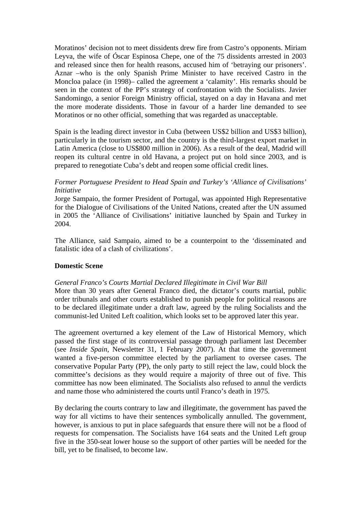Moratinos' decision not to meet dissidents drew fire from Castro's opponents. Miriam Leyva, the wife of Óscar Espinosa Chepe, one of the 75 dissidents arrested in 2003 and released since then for health reasons, accused him of 'betraying our prisoners'. Aznar –who is the only Spanish Prime Minister to have received Castro in the Moncloa palace (in 1998)– called the agreement a 'calamity'. His remarks should be seen in the context of the PP's strategy of confrontation with the Socialists. Javier Sandomingo, a senior Foreign Ministry official, stayed on a day in Havana and met the more moderate dissidents. Those in favour of a harder line demanded to see Moratinos or no other official, something that was regarded as unacceptable.

Spain is the leading direct investor in Cuba (between US\$2 billion and US\$3 billion), particularly in the tourism sector, and the country is the third-largest export market in Latin America (close to US\$800 million in 2006). As a result of the deal, Madrid will reopen its cultural centre in old Havana, a project put on hold since 2003, and is prepared to renegotiate Cuba's debt and reopen some official credit lines.

# *Former Portuguese President to Head Spain and Turkey's 'Alliance of Civilisations' Initiative*

Jorge Sampaio, the former President of Portugal, was appointed High Representative for the Dialogue of Civilisations of the United Nations, created after the UN assumed in 2005 the 'Alliance of Civilisations' initiative launched by Spain and Turkey in 2004.

The Alliance, said Sampaio, aimed to be a counterpoint to the 'disseminated and fatalistic idea of a clash of civilizations'.

# **Domestic Scene**

# *General Franco's Courts Martial Declared Illegitimate in Civil War Bill*

More than 30 years after General Franco died, the dictator's courts martial, public order tribunals and other courts established to punish people for political reasons are to be declared illegitimate under a draft law, agreed by the ruling Socialists and the communist-led United Left coalition, which looks set to be approved later this year.

The agreement overturned a key element of the Law of Historical Memory, which passed the first stage of its controversial passage through parliament last December (see *Inside Spain*, Newsletter 31, 1 February 2007). At that time the government wanted a five-person committee elected by the parliament to oversee cases. The conservative Popular Party (PP), the only party to still reject the law, could block the committee's decisions as they would require a majority of three out of five. This committee has now been eliminated. The Socialists also refused to annul the verdicts and name those who administered the courts until Franco's death in 1975.

By declaring the courts contrary to law and illegitimate, the government has paved the way for all victims to have their sentences symbolically annulled. The government, however, is anxious to put in place safeguards that ensure there will not be a flood of requests for compensation. The Socialists have 164 seats and the United Left group five in the 350-seat lower house so the support of other parties will be needed for the bill, yet to be finalised, to become law.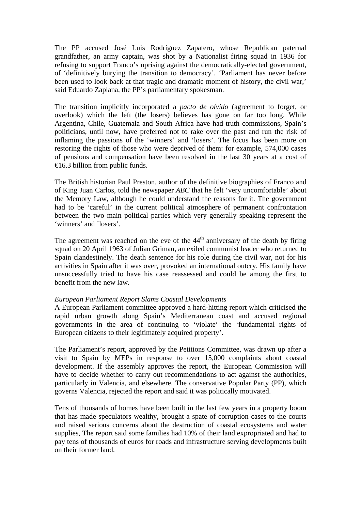The PP accused José Luis Rodríguez Zapatero, whose Republican paternal grandfather, an army captain, was shot by a Nationalist firing squad in 1936 for refusing to support Franco's uprising against the democratically-elected government, of 'definitively burying the transition to democracy'. 'Parliament has never before been used to look back at that tragic and dramatic moment of history, the civil war,' said Eduardo Zaplana, the PP's parliamentary spokesman.

The transition implicitly incorporated a *pacto de olvido* (agreement to forget, or overlook) which the left (the losers) believes has gone on far too long. While Argentina, Chile, Guatemala and South Africa have had truth commissions, Spain's politicians, until now, have preferred not to rake over the past and run the risk of inflaming the passions of the 'winners' and 'losers'. The focus has been more on restoring the rights of those who were deprived of them: for example, 574,000 cases of pensions and compensation have been resolved in the last 30 years at a cost of  $\triangleleft$  6.3 billion from public funds.

The British historian Paul Preston, author of the definitive biographies of Franco and of King Juan Carlos, told the newspaper *ABC* that he felt 'very uncomfortable' about the Memory Law, although he could understand the reasons for it. The government had to be 'careful' in the current political atmosphere of permanent confrontation between the two main political parties which very generally speaking represent the 'winners' and 'losers'.

The agreement was reached on the eve of the  $44<sup>th</sup>$  anniversary of the death by firing squad on 20 April 1963 of Julian Grimau, an exiled communist leader who returned to Spain clandestinely. The death sentence for his role during the civil war, not for his activities in Spain after it was over, provoked an international outcry. His family have unsuccessfully tried to have his case reassessed and could be among the first to benefit from the new law.

# *European Parliament Report Slams Coastal Developments*

A European Parliament committee approved a hard-hitting report which criticised the rapid urban growth along Spain's Mediterranean coast and accused regional governments in the area of continuing to 'violate' the 'fundamental rights of European citizens to their legitimately acquired property'.

The Parliament's report, approved by the Petitions Committee, was drawn up after a visit to Spain by MEPs in response to over 15,000 complaints about coastal development. If the assembly approves the report, the European Commission will have to decide whether to carry out recommendations to act against the authorities, particularly in Valencia, and elsewhere. The conservative Popular Party (PP), which governs Valencia, rejected the report and said it was politically motivated.

Tens of thousands of homes have been built in the last few years in a property boom that has made speculators wealthy, brought a spate of corruption cases to the courts and raised serious concerns about the destruction of coastal ecosystems and water supplies, The report said some families had 10% of their land expropriated and had to pay tens of thousands of euros for roads and infrastructure serving developments built on their former land.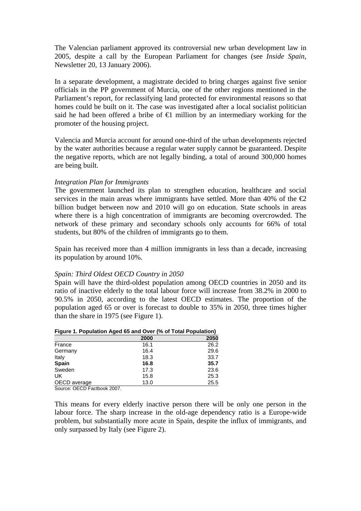The Valencian parliament approved its controversial new urban development law in 2005, despite a call by the European Parliament for changes (see *Inside Spain,*  Newsletter 20, 13 January 2006).

In a separate development, a magistrate decided to bring charges against five senior officials in the PP government of Murcia, one of the other regions mentioned in the Parliament's report, for reclassifying land protected for environmental reasons so that homes could be built on it. The case was investigated after a local socialist politician said he had been offered a bribe of  $\bigoplus$  million by an intermediary working for the promoter of the housing project.

Valencia and Murcia account for around one-third of the urban developments rejected by the water authorities because a regular water supply cannot be guaranteed. Despite the negative reports, which are not legally binding, a total of around 300,000 homes are being built.

## *Integration Plan for Immigrants*

The government launched its plan to strengthen education, healthcare and social services in the main areas where immigrants have settled. More than 40% of the  $\epsilon$ 2 billion budget between now and 2010 will go on education. State schools in areas where there is a high concentration of immigrants are becoming overcrowded. The network of these primary and secondary schools only accounts for 66% of total students, but 80% of the children of immigrants go to them.

Spain has received more than 4 million immigrants in less than a decade, increasing its population by around 10%.

## *Spain: Third Oldest OECD Country in 2050*

Spain will have the third-oldest population among OECD countries in 2050 and its ratio of inactive elderly to the total labour force will increase from 38.2% in 2000 to 90.5% in 2050, according to the latest OECD estimates. The proportion of the population aged 65 or over is forecast to double to 35% in 2050, three times higher than the share in 1975 (see Figure 1).

| Figure 1. Population Aged 65 and Over (% of Total Population) |  |
|---------------------------------------------------------------|--|
|---------------------------------------------------------------|--|

|              | 2000 | 2050 |
|--------------|------|------|
| France       | 16.1 | 26.2 |
| Germany      | 16.4 | 29.6 |
| Italy        | 18.3 | 33.7 |
| <b>Spain</b> | 16.8 | 35.7 |
| Sweden       | 17.3 | 23.6 |
| UK           | 15.8 | 25.3 |
| OECD average | 13.0 | 25.5 |
|              |      |      |

Source: OECD Factbook 2007.

This means for every elderly inactive person there will be only one person in the labour force. The sharp increase in the old-age dependency ratio is a Europe-wide problem, but substantially more acute in Spain, despite the influx of immigrants, and only surpassed by Italy (see Figure 2).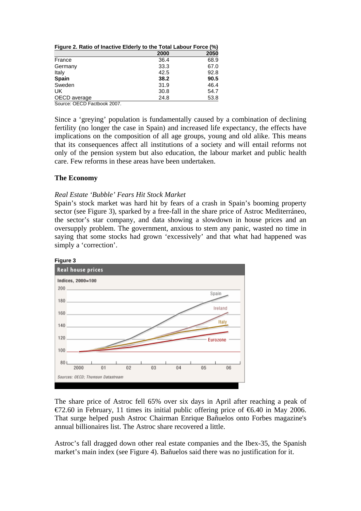|              | 2000 | 2050 |
|--------------|------|------|
| France       | 36.4 | 68.9 |
| Germany      | 33.3 | 67.0 |
| Italy        | 42.5 | 92.8 |
| <b>Spain</b> | 38.2 | 90.5 |
| Sweden       | 31.9 | 46.4 |
| UK.          | 30.8 | 54.7 |
| OECD average | 24.8 | 53.8 |

Source: OECD Factbook 2007.

Since a 'greying' population is fundamentally caused by a combination of declining fertility (no longer the case in Spain) and increased life expectancy, the effects have implications on the composition of all age groups, young and old alike. This means that its consequences affect all institutions of a society and will entail reforms not only of the pension system but also education, the labour market and public health care. Few reforms in these areas have been undertaken.

## **The Economy**

## *Real Estate 'Bubble' Fears Hit Stock Market*

Spain's stock market was hard hit by fears of a crash in Spain's booming property sector (see Figure 3), sparked by a free-fall in the share price of Astroc Mediterráneo, the sector's star company, and data showing a slowdown in house prices and an oversupply problem. The government, anxious to stem any panic, wasted no time in saying that some stocks had grown 'excessively' and that what had happened was simply a 'correction'.



The share price of Astroc fell 65% over six days in April after reaching a peak of €72.60 in February, 11 times its initial public offering price of €6.40 in May 2006. That surge helped push Astroc Chairman Enrique Bañuelos onto Forbes magazine's annual billionaires list. The Astroc share recovered a little.

Astroc's fall dragged down other real estate companies and the Ibex-35, the Spanish market's main index (see Figure 4). Bañuelos said there was no justification for it.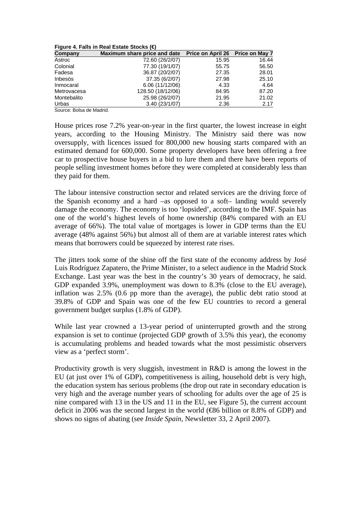| Figure 4. Falls in Real Estate Stocks (€) |  |  |  |  |  |
|-------------------------------------------|--|--|--|--|--|
|-------------------------------------------|--|--|--|--|--|

| Company     | Maximum share price and date | Price on April 26 Price on May 7 |       |
|-------------|------------------------------|----------------------------------|-------|
| Astroc      | 72.60 (26/2/07)              | 15.95                            | 16.44 |
| Colonial    | 77.30 (19/1/07)              | 55.75                            | 56.50 |
| Fadesa      | 36.87 (20/2/07)              | 27.35                            | 28.01 |
| Inbesòs     | 37.35 (6/2/07)               | 27.98                            | 25.10 |
| Inmocaral   | 6.06 (11/12/06)              | 4.33                             | 4.64  |
| Metrovacesa | 128.50 (18/12/06)            | 84.95                            | 87.20 |
| Montebalito | 25.98 (26/2/07)              | 21.95                            | 21.02 |
| Urbas       | 3.40(23/1/07)                | 2.36                             | 2.17  |

Source: Bolsa de Madrid.

House prices rose 7.2% year-on-year in the first quarter, the lowest increase in eight years, according to the Housing Ministry. The Ministry said there was now oversupply, with licences issued for 800,000 new housing starts compared with an estimated demand for 600,000. Some property developers have been offering a free car to prospective house buyers in a bid to lure them and there have been reports of people selling investment homes before they were completed at considerably less than they paid for them.

The labour intensive construction sector and related services are the driving force of the Spanish economy and a hard –as opposed to a soft– landing would severely damage the economy. The economy is too 'lopsided', according to the IMF. Spain has one of the world's highest levels of home ownership (84% compared with an EU average of 66%). The total value of mortgages is lower in GDP terms than the EU average (48% against 56%) but almost all of them are at variable interest rates which means that borrowers could be squeezed by interest rate rises.

The jitters took some of the shine off the first state of the economy address by José Luis Rodríguez Zapatero, the Prime Minister, to a select audience in the Madrid Stock Exchange. Last year was the best in the country's 30 years of democracy, he said. GDP expanded 3.9%, unemployment was down to 8.3% (close to the EU average), inflation was 2.5% (0.6 pp more than the average), the public debt ratio stood at 39.8% of GDP and Spain was one of the few EU countries to record a general government budget surplus (1.8% of GDP).

While last year crowned a 13-year period of uninterrupted growth and the strong expansion is set to continue (projected GDP growth of 3.5% this year), the economy is accumulating problems and headed towards what the most pessimistic observers view as a 'perfect storm'.

Productivity growth is very sluggish, investment in R&D is among the lowest in the EU (at just over 1% of GDP), competitiveness is ailing, household debt is very high, the education system has serious problems (the drop out rate in secondary education is very high and the average number years of schooling for adults over the age of 25 is nine compared with 13 in the US and 11 in the EU, see Figure 5), the current account deficit in 2006 was the second largest in the world ( $\bigoplus$ 6 billion or 8.8% of GDP) and shows no signs of abating (see *Inside Spain*, Newsletter 33, 2 April 2007).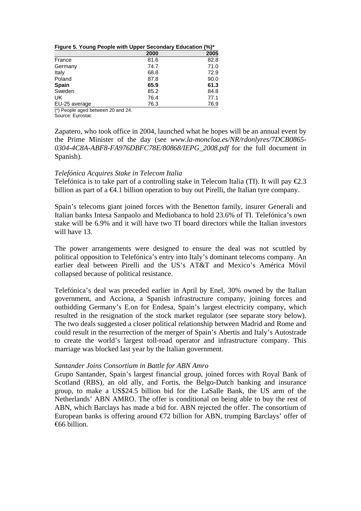|  |  | Figure 5. Young People with Upper Secondary Education (%)* |
|--|--|------------------------------------------------------------|
|  |  |                                                            |

|               | 2000 | 2005 |
|---------------|------|------|
| France        | 81.6 | 82.8 |
| Germany       | 74.7 | 71.0 |
| Italy         | 68.8 | 72.9 |
| Poland        | 87.8 | 90.0 |
| <b>Spain</b>  | 65.9 | 61.3 |
| Sweden        | 85.2 | 84.8 |
| UK            | 76.4 | 77.1 |
| EU-25 average | 76.3 | 76.9 |

(\*) People aged between 20 and 24.

Source: Eurostat.

Zapatero, who took office in 2004, launched what he hopes will be an annual event by the Prime Minister of the day (see *www.la-moncloa.es/NR/rdonlyres/7DCB0865- 0304-4C8A-ABF8-FA976DBFC78E/80868/IEPG\_2008.pdf* for the full document in Spanish).

## *Telefónica Acquires Stake in Telecom Italia*

Telefónica is to take part of a controlling stake in Telecom Italia (TI). It will pay  $\epsilon 2.3$ billion as part of a  $\bigoplus$ . 1 billion operation to buy out Pirelli, the Italian tyre company.

Spain's telecoms giant joined forces with the Benetton family, insurer Generali and Italian banks Intesa Sanpaolo and Mediobanca to hold 23.6% of TI. Telefónica's own stake will be 6.9% and it will have two TI board directors while the Italian investors will have 13.

The power arrangements were designed to ensure the deal was not scuttled by political opposition to Telefónica's entry into Italy's dominant telecoms company. An earlier deal between Pirelli and the US's AT&T and Mexico's América Móvil collapsed because of political resistance.

Telefónica's deal was preceded earlier in April by Enel, 30% owned by the Italian government, and Acciona, a Spanish infrastructure company, joining forces and outbidding Germany's E.on for Endesa, Spain's largest electricity company, which resulted in the resignation of the stock market regulator (see separate story below). The two deals suggested a closer political relationship between Madrid and Rome and could result in the resurrection of the merger of Spain's Abertis and Italy's Autostrade to create the world's largest toll-road operator and infrastructure company. This marriage was blocked last year by the Italian government.

## *Santander Joins Consortium in Battle for ABN Amro*

Grupo Santander, Spain's largest financial group, joined forces with Royal Bank of Scotland (RBS), an old ally, and Fortis, the Belgo-Dutch banking and insurance group, to make a US\$24.5 billion bid for the LaSalle Bank, the US arm of the Netherlands' ABN AMRO. The offer is conditional on being able to buy the rest of ABN, which Barclays has made a bid for. ABN rejected the offer. The consortium of European banks is offering around  $\epsilon$  2 billion for ABN, trumping Barclays' offer of €66 billion.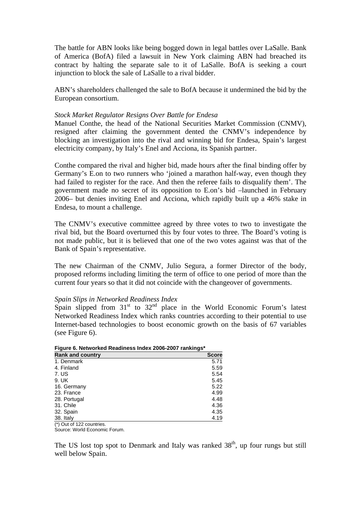The battle for ABN looks like being bogged down in legal battles over LaSalle. Bank of America (BofA) filed a lawsuit in New York claiming ABN had breached its contract by halting the separate sale to it of LaSalle. BofA is seeking a court injunction to block the sale of LaSalle to a rival bidder.

ABN's shareholders challenged the sale to BofA because it undermined the bid by the European consortium.

#### *Stock Market Regulator Resigns Over Battle for Endesa*

Manuel Conthe, the head of the National Securities Market Commission (CNMV), resigned after claiming the government dented the CNMV's independence by blocking an investigation into the rival and winning bid for Endesa, Spain's largest electricity company, by Italy's Enel and Acciona, its Spanish partner.

Conthe compared the rival and higher bid, made hours after the final binding offer by Germany's E.on to two runners who 'joined a marathon half-way, even though they had failed to register for the race. And then the referee fails to disqualify them'. The government made no secret of its opposition to E.on's bid –launched in February 2006– but denies inviting Enel and Acciona, which rapidly built up a 46% stake in Endesa, to mount a challenge.

The CNMV's executive committee agreed by three votes to two to investigate the rival bid, but the Board overturned this by four votes to three. The Board's voting is not made public, but it is believed that one of the two votes against was that of the Bank of Spain's representative.

The new Chairman of the CNMV, Julio Segura, a former Director of the body, proposed reforms including limiting the term of office to one period of more than the current four years so that it did not coincide with the changeover of governments.

#### *Spain Slips in Networked Readiness Index*

Spain slipped from  $31<sup>st</sup>$  to  $32<sup>nd</sup>$  place in the World Economic Forum's latest Networked Readiness Index which ranks countries according to their potential to use Internet-based technologies to boost economic growth on the basis of 67 variables (see Figure 6).

| Figure 6. Networked Readmess muex 2006-2007 Tankings |      |  |
|------------------------------------------------------|------|--|
| <b>Rank and country</b>                              |      |  |
| 1. Denmark                                           | 5.71 |  |
| 4. Finland                                           | 5.59 |  |
| 7. US                                                | 5.54 |  |
| 9. UK                                                | 5.45 |  |
| 16. Germany                                          | 5.22 |  |
| 23. France                                           | 4.99 |  |
| 28. Portugal                                         | 4.48 |  |
| 31. Chile                                            | 4.36 |  |
| 32. Spain                                            | 4.35 |  |
| 38. Italy                                            | 4.19 |  |
| $\left( \star \right)$ Out of 199 countries          |      |  |

**Figure 6. Networked Readiness Index 2006-2007 rankings\*** 

(\*) Out of 122 countries.

Source: World Economic Forum.

The US lost top spot to Denmark and Italy was ranked  $38<sup>th</sup>$ , up four rungs but still well below Spain.